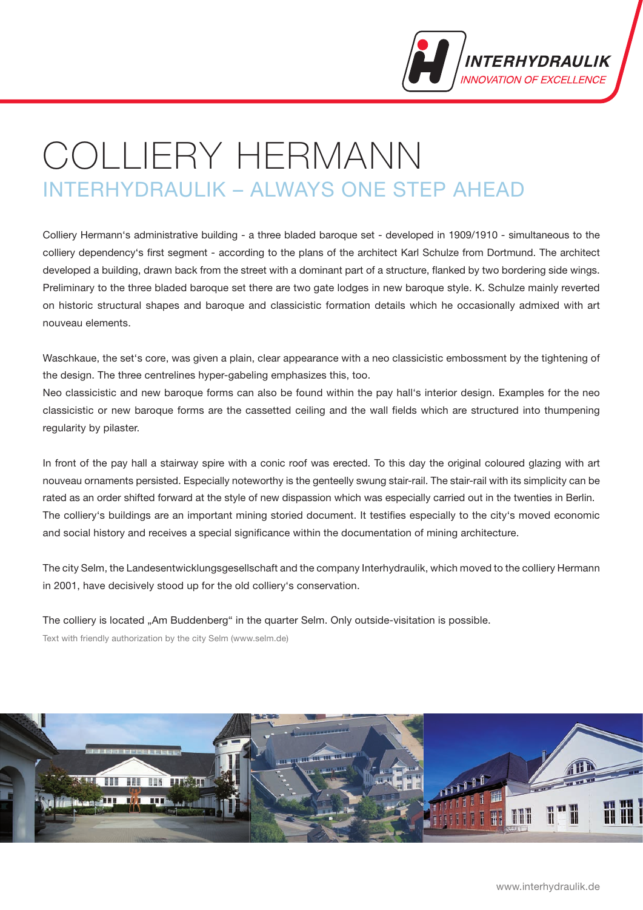

# Colliery Hermann INTErHyDrAULIK – ALWAyS ONE STEP AHEAD

Colliery Hermann's administrative building - a three bladed baroque set - developed in 1909/1910 - simultaneous to the colliery dependency's first segment - according to the plans of the architect Karl Schulze from Dortmund. The architect developed a building, drawn back from the street with a dominant part of a structure, flanked by two bordering side wings. Preliminary to the three bladed baroque set there are two gate lodges in new baroque style. K. Schulze mainly reverted on historic structural shapes and baroque and classicistic formation details which he occasionally admixed with art nouveau elements.

Waschkaue, the set's core, was given a plain, clear appearance with a neo classicistic embossment by the tightening of the design. The three centrelines hyper-gabeling emphasizes this, too.

Neo classicistic and new baroque forms can also be found within the pay hall's interior design. Examples for the neo classicistic or new baroque forms are the cassetted ceiling and the wall fields which are structured into thumpening regularity by pilaster.

In front of the pay hall a stairway spire with a conic roof was erected. To this day the original coloured glazing with art nouveau ornaments persisted. Especially noteworthy is the genteelly swung stair-rail. The stair-rail with its simplicity can be rated as an order shifted forward at the style of new dispassion which was especially carried out in the twenties in Berlin. The colliery's buildings are an important mining storied document. It testifies especially to the city's moved economic and social history and receives a special significance within the documentation of mining architecture.

The city Selm, the Landesentwicklungsgesellschaft and the company Interhydraulik, which moved to the colliery Hermann in 2001, have decisively stood up for the old colliery's conservation.

The colliery is located "Am Buddenberg" in the quarter Selm. Only outside-visitation is possible.

Text with friendly authorization by the city Selm (www.selm.de)

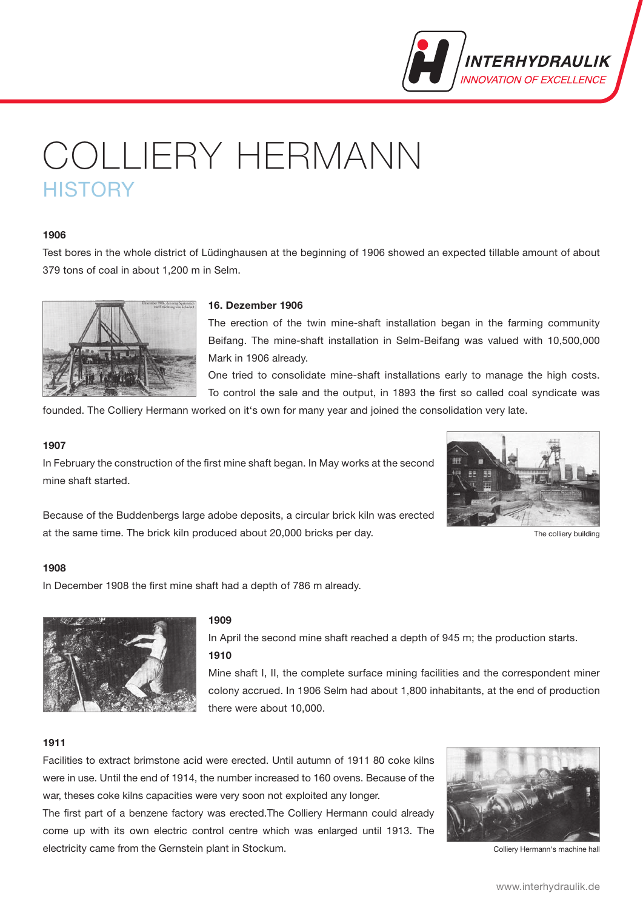

# Colliery Hermann **HISTORY**

# **1906**

Test bores in the whole district of Lüdinghausen at the beginning of 1906 showed an expected tillable amount of about 379 tons of coal in about 1,200 m in Selm.



# **16. Dezember 1906**

The erection of the twin mine-shaft installation began in the farming community Beifang. The mine-shaft installation in Selm-Beifang was valued with 10,500,000 Mark in 1906 already.

One tried to consolidate mine-shaft installations early to manage the high costs. To control the sale and the output, in 1893 the first so called coal syndicate was

founded. The Colliery Hermann worked on it's own for many year and joined the consolidation very late.

#### **1907**

In February the construction of the first mine shaft began. In May works at the second mine shaft started.



The colliery building

Because of the Buddenbergs large adobe deposits, a circular brick kiln was erected at the same time. The brick kiln produced about 20,000 bricks per day.

### **1908**

In December 1908 the first mine shaft had a depth of 786 m already.



### **1909**

In April the second mine shaft reached a depth of 945 m; the production starts. **1910**

Mine shaft I, II, the complete surface mining facilities and the correspondent miner colony accrued. In 1906 Selm had about 1,800 inhabitants, at the end of production there were about 10,000.

#### **1911**

Facilities to extract brimstone acid were erected. Until autumn of 1911 80 coke kilns were in use. Until the end of 1914, the number increased to 160 ovens. Because of the war, theses coke kilns capacities were very soon not exploited any longer.

The first part of a benzene factory was erected.The Colliery Hermann could already come up with its own electric control centre which was enlarged until 1913. The electricity came from the Gernstein plant in Stockum.



Colliery Hermann's machine hall